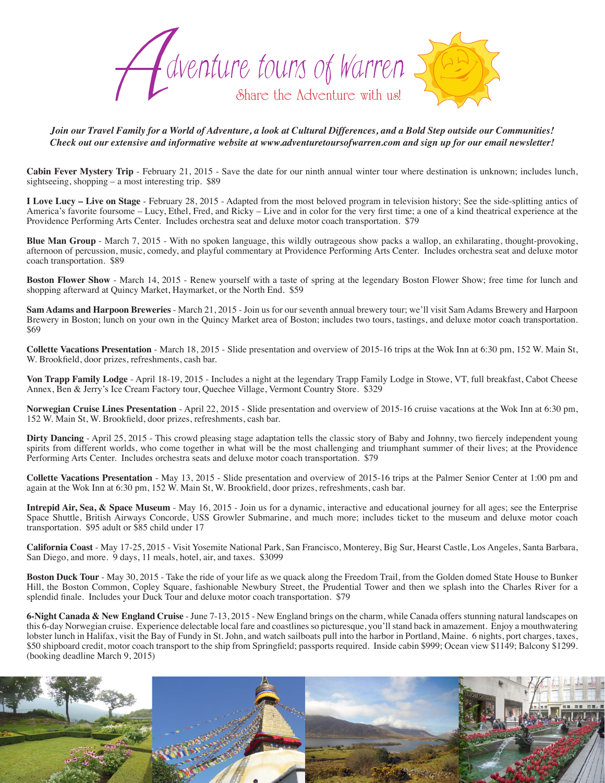

*Join our Travel Family for a World of Adventure, a look at Cultural Differences, and a Bold Step outside our Communities! Check out our extensive and informative website at www.adventuretoursofwarren.com and sign up for our email newsletter!* 

**Cabin Fever Mystery Trip** - February 21, 2015 - Save the date for our ninth annual winter tour where destination is unknown; includes lunch, sightseeing, shopping – a most interesting trip. \$89

**I Love Lucy – Live on Stage** - February 28, 2015 - Adapted from the most beloved program in television history; See the side-splitting antics of America's favorite foursome – Lucy, Ethel, Fred, and Ricky – Live and in color for the very first time; a one of a kind theatrical experience at the Providence Performing Arts Center. Includes orchestra seat and deluxe motor coach transportation. \$79

**Blue Man Group** - March 7, 2015 - With no spoken language, this wildly outrageous show packs a wallop, an exhilarating, thought-provoking, afternoon of percussion, music, comedy, and playful commentary at Providence Performing Arts Center. Includes orchestra seat and deluxe motor coach transportation. \$89

**Boston Flower Show** - March 14, 2015 - Renew yourself with a taste of spring at the legendary Boston Flower Show; free time for lunch and shopping afterward at Quincy Market, Haymarket, or the North End. \$59

**Sam Adams and Harpoon Breweries** - March 21, 2015 - Join us for our seventh annual brewery tour; we'll visit Sam Adams Brewery and Harpoon Brewery in Boston; lunch on your own in the Quincy Market area of Boston; includes two tours, tastings, and deluxe motor coach transportation. \$69

**Collette Vacations Presentation** - March 18, 2015 - Slide presentation and overview of 2015-16 trips at the Wok Inn at 6:30 pm, 152 W. Main St, W. Brookfield, door prizes, refreshments, cash bar.

**Von Trapp Family Lodge** - April 18-19, 2015 - Includes a night at the legendary Trapp Family Lodge in Stowe, VT, full breakfast, Cabot Cheese Annex, Ben & Jerry's Ice Cream Factory tour, Quechee Village, Vermont Country Store. \$329

**Norwegian Cruise Lines Presentation** - April 22, 2015 - Slide presentation and overview of 2015-16 cruise vacations at the Wok Inn at 6:30 pm, 152 W. Main St, W. Brookfield, door prizes, refreshments, cash bar.

**Dirty Dancing** - April 25, 2015 - This crowd pleasing stage adaptation tells the classic story of Baby and Johnny, two fiercely independent young spirits from different worlds, who come together in what will be the most challenging and triumphant summer of their lives; at the Providence Performing Arts Center. Includes orchestra seats and deluxe motor coach transportation. \$79

**Collette Vacations Presentation** - May 13, 2015 - Slide presentation and overview of 2015-16 trips at the Palmer Senior Center at 1:00 pm and again at the Wok Inn at 6:30 pm, 152 W. Main St, W. Brookfield, door prizes, refreshments, cash bar.

**Intrepid Air, Sea, & Space Museum** - May 16, 2015 - Join us for a dynamic, interactive and educational journey for all ages; see the Enterprise Space Shuttle, British Airways Concorde, USS Growler Submarine, and much more; includes ticket to the museum and deluxe motor coach transportation. \$95 adult or \$85 child under 17

**California Coast** - May 17-25, 2015 - Visit Yosemite National Park, San Francisco, Monterey, Big Sur, Hearst Castle, Los Angeles, Santa Barbara, San Diego, and more. 9 days, 11 meals, hotel, air, and taxes. \$3099

**Boston Duck Tour** - May 30, 2015 - Take the ride of your life as we quack along the Freedom Trail, from the Golden domed State House to Bunker Hill, the Boston Common, Copley Square, fashionable Newbury Street, the Prudential Tower and then we splash into the Charles River for a splendid finale. Includes your Duck Tour and deluxe motor coach transportation. \$79

**6-Night Canada & New England Cruise** - June 7-13, 2015 - New England brings on the charm, while Canada offers stunning natural landscapes on this 6-day Norwegian cruise. Experience delectable local fare and coastlines so picturesque, you'll stand back in amazement. Enjoy a mouthwatering lobster lunch in Halifax, visit the Bay of Fundy in St. John, and watch sailboats pull into the harbor in Portland, Maine. 6 nights, port charges, taxes, \$50 shipboard credit, motor coach transport to the ship from Springfield; passports required. Inside cabin \$999; Ocean view \$1149; Balcony \$1299. (booking deadline March 9, 2015)